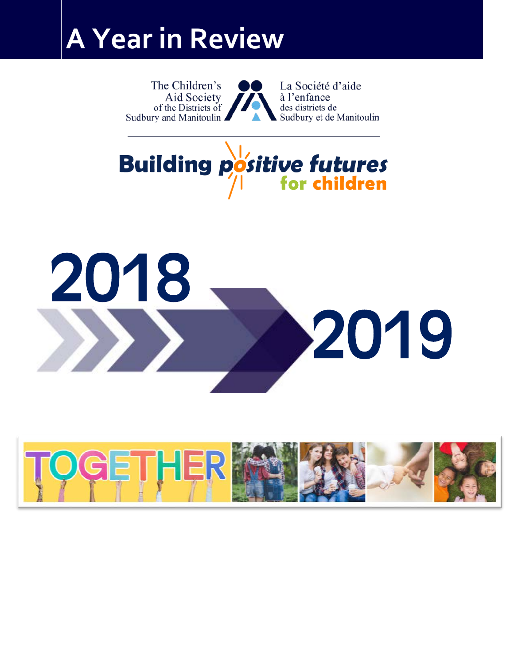# **A Year in Review**

The Children's La Société d'aide Aid Society à l'enfance of the Districts of des districts de Sudbury and Manitoulin ■ Sudbury et de Manitoulin





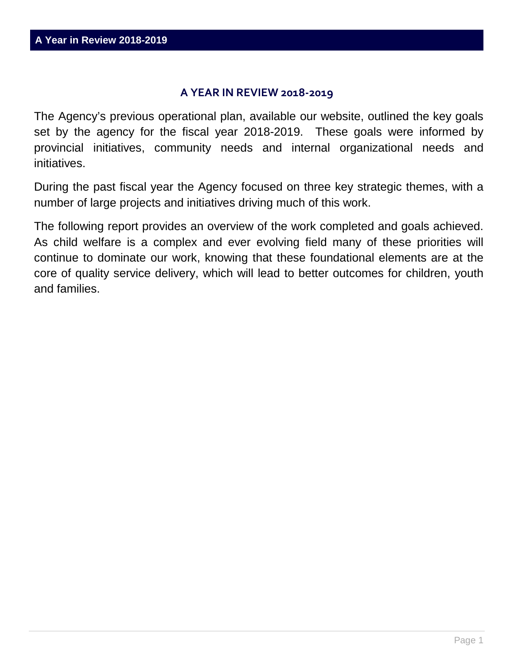#### **A YEAR IN REVIEW 2018-2019**

The Agency's previous operational plan, available our website, outlined the key goals set by the agency for the fiscal year 2018-2019. These goals were informed by provincial initiatives, community needs and internal organizational needs and initiatives.

During the past fiscal year the Agency focused on three key strategic themes, with a number of large projects and initiatives driving much of this work.

The following report provides an overview of the work completed and goals achieved. As child welfare is a complex and ever evolving field many of these priorities will continue to dominate our work, knowing that these foundational elements are at the core of quality service delivery, which will lead to better outcomes for children, youth and families.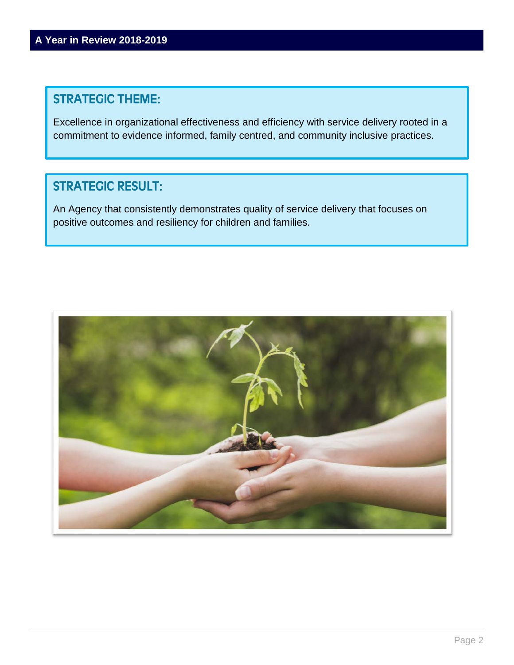# STRATEGIC THEME:

Excellence in organizational effectiveness and efficiency with service delivery rooted in a commitment to evidence informed, family centred, and community inclusive practices.

# STRATEGIC RESULT:

An Agency that consistently demonstrates quality of service delivery that focuses on positive outcomes and resiliency for children and families.

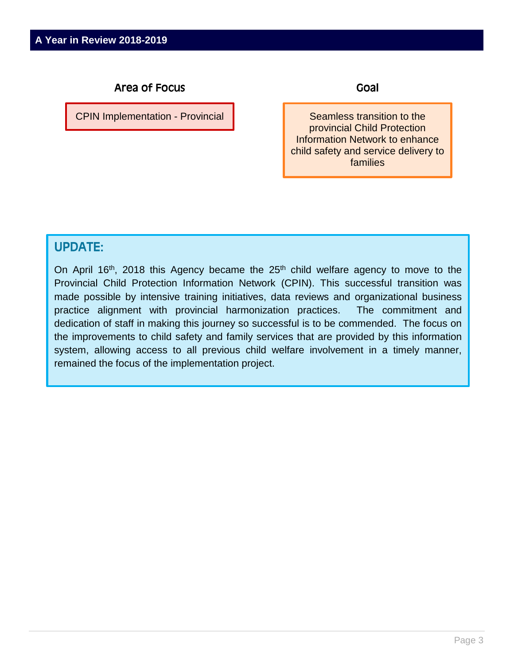CPIN Implementation - Provincial

Goal

Seamless transition to the provincial Child Protection Information Network to enhance child safety and service delivery to families

## UPDATE:

On April 16<sup>th</sup>, 2018 this Agency became the 25<sup>th</sup> child welfare agency to move to the Provincial Child Protection Information Network (CPIN). This successful transition was made possible by intensive training initiatives, data reviews and organizational business practice alignment with provincial harmonization practices. The commitment and dedication of staff in making this journey so successful is to be commended. The focus on the improvements to child safety and family services that are provided by this information system, allowing access to all previous child welfare involvement in a timely manner, remained the focus of the implementation project.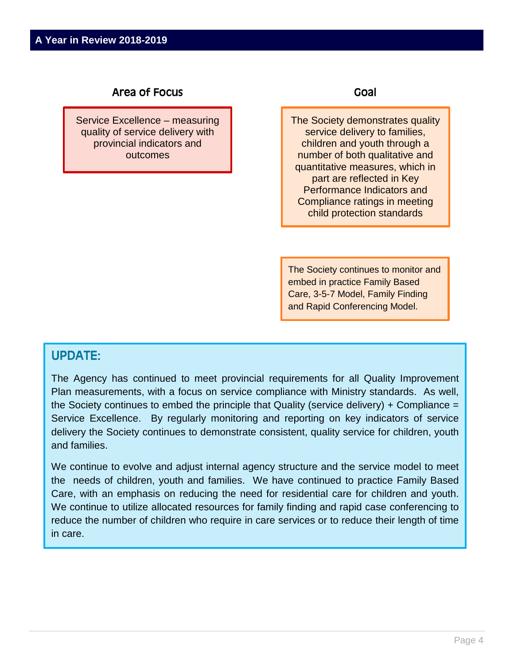Service Excellence – measuring quality of service delivery with provincial indicators and outcomes

#### Goal

The Society demonstrates quality service delivery to families, children and youth through a number of both qualitative and quantitative measures, which in part are reflected in Key Performance Indicators and Compliance ratings in meeting child protection standards

The Society continues to monitor and embed in practice Family Based Care, 3-5-7 Model, Family Finding and Rapid Conferencing Model.

## UPDATE:

The Agency has continued to meet provincial requirements for all Quality Improvement Plan measurements, with a focus on service compliance with Ministry standards. As well, the Society continues to embed the principle that Quality (service delivery) + Compliance = Service Excellence. By regularly monitoring and reporting on key indicators of service delivery the Society continues to demonstrate consistent, quality service for children, youth and families.

We continue to evolve and adjust internal agency structure and the service model to meet the needs of children, youth and families. We have continued to practice Family Based Care, with an emphasis on reducing the need for residential care for children and youth. We continue to utilize allocated resources for family finding and rapid case conferencing to reduce the number of children who require in care services or to reduce their length of time in care.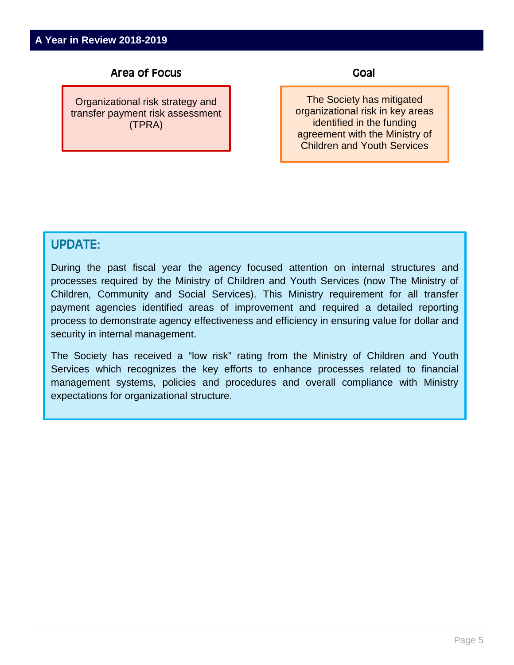Organizational risk strategy and transfer payment risk assessment (TPRA)

Goal

The Society has mitigated organizational risk in key areas identified in the funding agreement with the Ministry of Children and Youth Services

## UPDATE:

During the past fiscal year the agency focused attention on internal structures and processes required by the Ministry of Children and Youth Services (now The Ministry of Children, Community and Social Services). This Ministry requirement for all transfer payment agencies identified areas of improvement and required a detailed reporting process to demonstrate agency effectiveness and efficiency in ensuring value for dollar and security in internal management.

The Society has received a "low risk" rating from the Ministry of Children and Youth Services which recognizes the key efforts to enhance processes related to financial management systems, policies and procedures and overall compliance with Ministry expectations for organizational structure.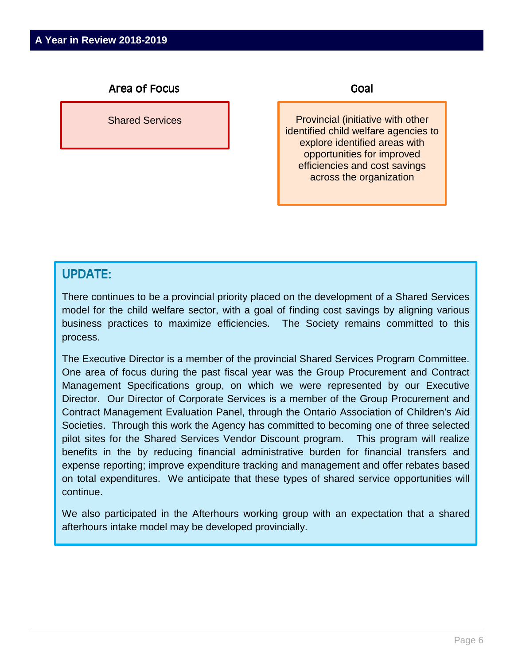Shared Services

Goal

Provincial (initiative with other identified child welfare agencies to explore identified areas with opportunities for improved efficiencies and cost savings across the organization

## UPDATE:

There continues to be a provincial priority placed on the development of a Shared Services model for the child welfare sector, with a goal of finding cost savings by aligning various business practices to maximize efficiencies. The Society remains committed to this process.

The Executive Director is a member of the provincial Shared Services Program Committee. One area of focus during the past fiscal year was the Group Procurement and Contract Management Specifications group, on which we were represented by our Executive Director. Our Director of Corporate Services is a member of the Group Procurement and Contract Management Evaluation Panel, through the Ontario Association of Children's Aid Societies. Through this work the Agency has committed to becoming one of three selected pilot sites for the Shared Services Vendor Discount program. This program will realize benefits in the by reducing financial administrative burden for financial transfers and expense reporting; improve expenditure tracking and management and offer rebates based on total expenditures. We anticipate that these types of shared service opportunities will continue.

We also participated in the Afterhours working group with an expectation that a shared afterhours intake model may be developed provincially.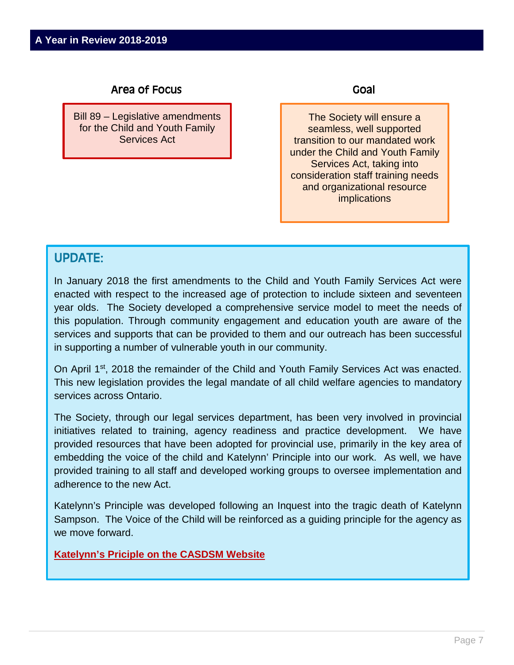Bill 89 – Legislative amendments for the Child and Youth Family Services Act

Goal

The Society will ensure a seamless, well supported transition to our mandated work under the Child and Youth Family Services Act, taking into consideration staff training needs and organizational resource implications

## UPDATE:

In January 2018 the first amendments to the Child and Youth Family Services Act were enacted with respect to the increased age of protection to include sixteen and seventeen year olds. The Society developed a comprehensive service model to meet the needs of this population. Through community engagement and education youth are aware of the services and supports that can be provided to them and our outreach has been successful in supporting a number of vulnerable youth in our community.

On April 1<sup>st</sup>, 2018 the remainder of the Child and Youth Family Services Act was enacted. This new legislation provides the legal mandate of all child welfare agencies to mandatory services across Ontario.

The Society, through our legal services department, has been very involved in provincial initiatives related to training, agency readiness and practice development. We have provided resources that have been adopted for provincial use, primarily in the key area of embedding the voice of the child and Katelynn' Principle into our work. As well, we have provided training to all staff and developed working groups to oversee implementation and adherence to the new Act.

Katelynn's Principle was developed following an Inquest into the tragic death of Katelynn Sampson. The Voice of the Child will be reinforced as a guiding principle for the agency as we move forward.

**[Katelynn's Priciple on the CASDSM Website](http://www.casdsm.on.ca/wp-content/uploads/2018/10/Katelynns-Principle-Poster-EN.pdf)**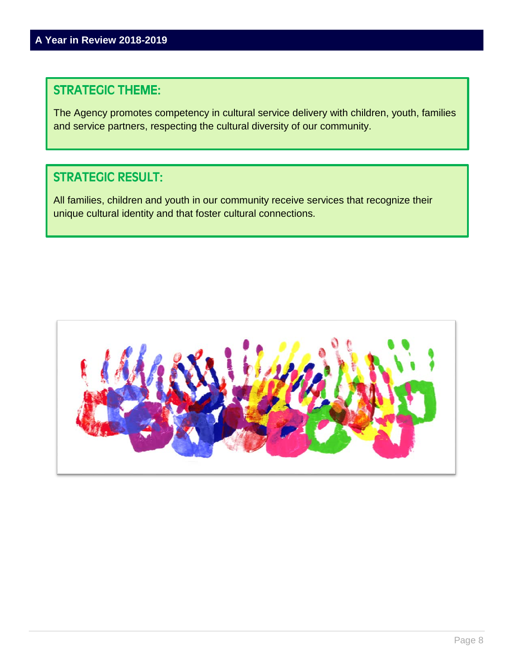# STRATEGIC THEME:

The Agency promotes competency in cultural service delivery with children, youth, families and service partners, respecting the cultural diversity of our community.

# STRATEGIC RESULT:

All families, children and youth in our community receive services that recognize their unique cultural identity and that foster cultural connections.

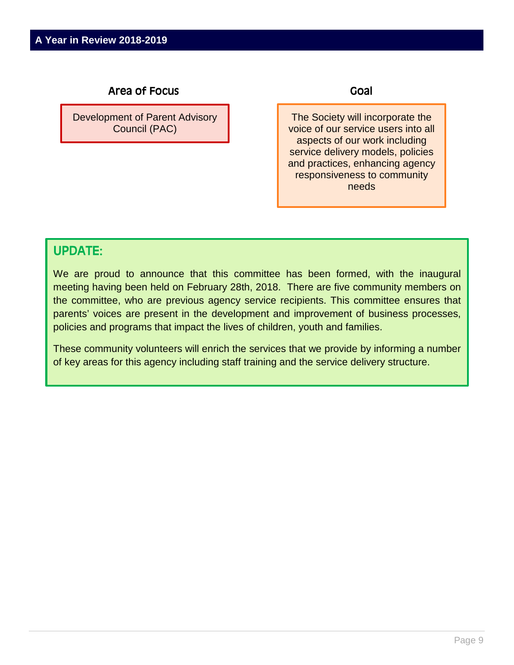Development of Parent Advisory Council (PAC)

Goal

The Society will incorporate the voice of our service users into all aspects of our work including service delivery models, policies and practices, enhancing agency responsiveness to community needs

## UPDATE:

We are proud to announce that this committee has been formed, with the inaugural meeting having been held on February 28th, 2018. There are five community members on the committee, who are previous agency service recipients. This committee ensures that parents' voices are present in the development and improvement of business processes, policies and programs that impact the lives of children, youth and families.

These community volunteers will enrich the services that we provide by informing a number of key areas for this agency including staff training and the service delivery structure.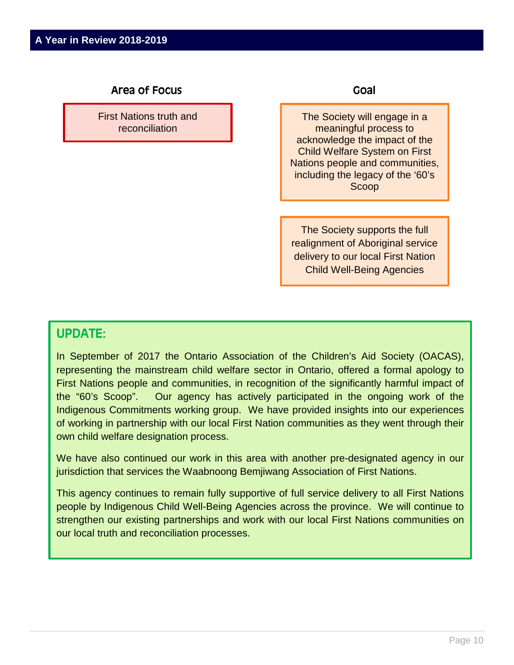First Nations truth and reconciliation

#### Goal

The Society will engage in a meaningful process to acknowledge the impact of the Child Welfare System on First Nations people and communities, including the legacy of the '60's Scoop

The Society supports the full realignment of Aboriginal service delivery to our local First Nation Child Well-Being Agencies

## UPDATE:

In September of 2017 the Ontario Association of the Children's Aid Society (OACAS), representing the mainstream child welfare sector in Ontario, offered a formal apology to First Nations people and communities, in recognition of the significantly harmful impact of the "60's Scoop". Our agency has actively participated in the ongoing work of the Indigenous Commitments working group. We have provided insights into our experiences of working in partnership with our local First Nation communities as they went through their own child welfare designation process.

We have also continued our work in this area with another pre-designated agency in our jurisdiction that services the Waabnoong Bemjiwang Association of First Nations.

This agency continues to remain fully supportive of full service delivery to all First Nations people by Indigenous Child Well-Being Agencies across the province. We will continue to strengthen our existing partnerships and work with our local First Nations communities on our local truth and reconciliation processes.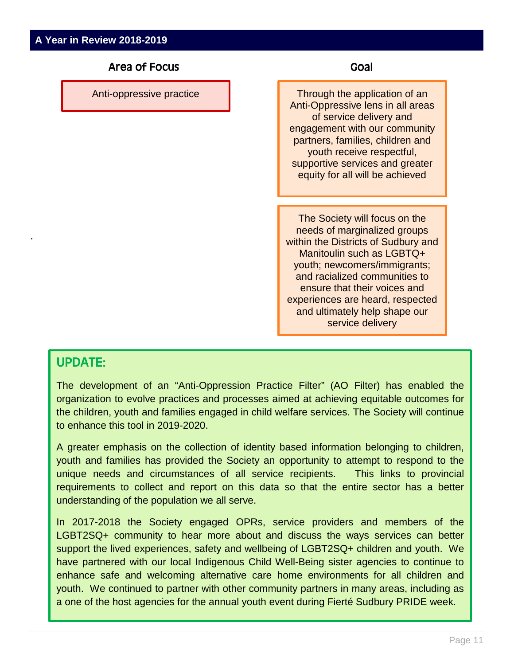Anti-oppressive practice

#### Goal

Through the application of an Anti-Oppressive lens in all areas of service delivery and engagement with our community partners, families, children and youth receive respectful, supportive services and greater equity for all will be achieved

The Society will focus on the needs of marginalized groups within the Districts of Sudbury and Manitoulin such as LGBTQ+ youth; newcomers/immigrants; and racialized communities to ensure that their voices and experiences are heard, respected and ultimately help shape our service delivery

## UPDATE:

.

The development of an "Anti-Oppression Practice Filter" (AO Filter) has enabled the organization to evolve practices and processes aimed at achieving equitable outcomes for the children, youth and families engaged in child welfare services. The Society will continue to enhance this tool in 2019-2020.

A greater emphasis on the collection of identity based information belonging to children, youth and families has provided the Society an opportunity to attempt to respond to the unique needs and circumstances of all service recipients. This links to provincial requirements to collect and report on this data so that the entire sector has a better understanding of the population we all serve.

In 2017-2018 the Society engaged OPRs, service providers and members of the LGBT2SQ+ community to hear more about and discuss the ways services can better support the lived experiences, safety and wellbeing of LGBT2SQ+ children and youth. We have partnered with our local Indigenous Child Well-Being sister agencies to continue to enhance safe and welcoming alternative care home environments for all children and youth. We continued to partner with other community partners in many areas, including as a one of the host agencies for the annual youth event during Fierté Sudbury PRIDE week.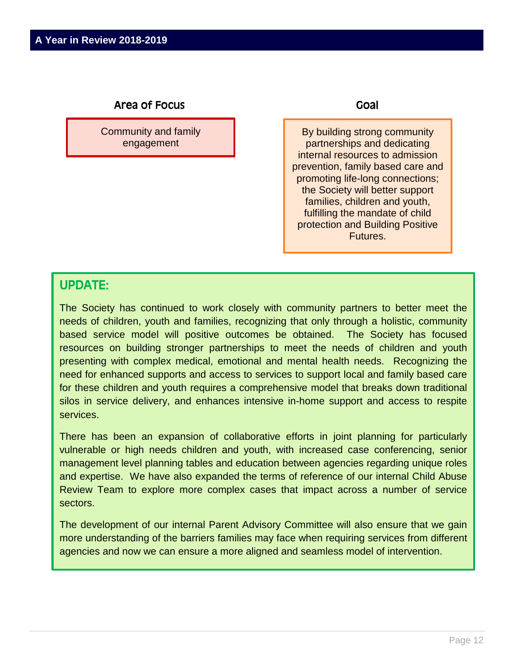Community and family engagement

#### Goal

By building strong community partnerships and dedicating internal resources to admission prevention, family based care and promoting life-long connections; the Society will better support families, children and youth, fulfilling the mandate of child protection and Building Positive Futures.

## UPDATE:

The Society has continued to work closely with community partners to better meet the needs of children, youth and families, recognizing that only through a holistic, community based service model will positive outcomes be obtained. The Society has focused resources on building stronger partnerships to meet the needs of children and youth presenting with complex medical, emotional and mental health needs. Recognizing the need for enhanced supports and access to services to support local and family based care for these children and youth requires a comprehensive model that breaks down traditional silos in service delivery, and enhances intensive in-home support and access to respite services.

There has been an expansion of collaborative efforts in joint planning for particularly vulnerable or high needs children and youth, with increased case conferencing, senior management level planning tables and education between agencies regarding unique roles and expertise. We have also expanded the terms of reference of our internal Child Abuse Review Team to explore more complex cases that impact across a number of service sectors.

The development of our internal Parent Advisory Committee will also ensure that we gain more understanding of the barriers families may face when requiring services from different agencies and now we can ensure a more aligned and seamless model of intervention.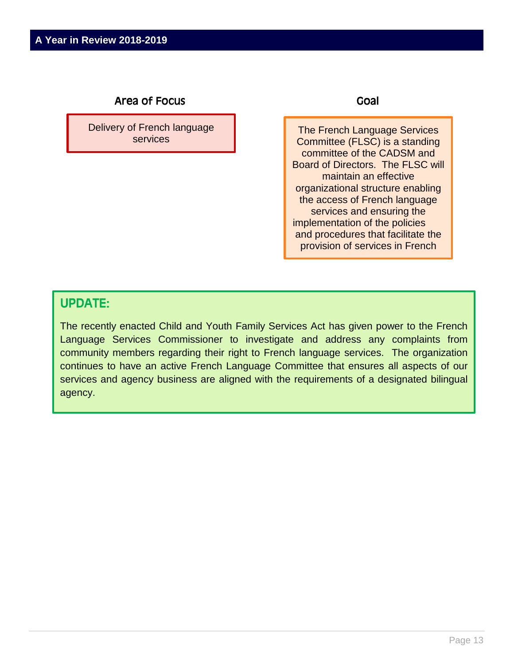Delivery of French language services

#### Goal

The French Language Services Committee (FLSC) is a standing committee of the CADSM and Board of Directors. The FLSC will maintain an effective organizational structure enabling the access of French language services and ensuring the implementation of the policies and procedures that facilitate the provision of services in French

## UPDATE:

The recently enacted Child and Youth Family Services Act has given power to the French Language Services Commissioner to investigate and address any complaints from community members regarding their right to French language services. The organization continues to have an active French Language Committee that ensures all aspects of our services and agency business are aligned with the requirements of a designated bilingual agency.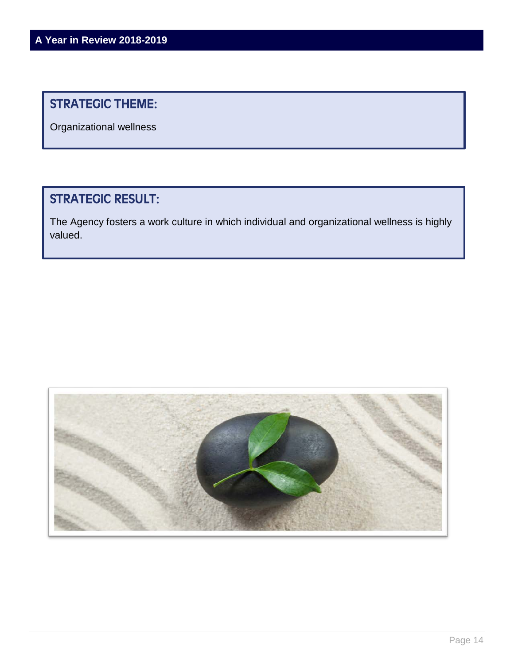# STRATEGIC THEME:

Organizational wellness

# STRATEGIC RESULT:

The Agency fosters a work culture in which individual and organizational wellness is highly valued.

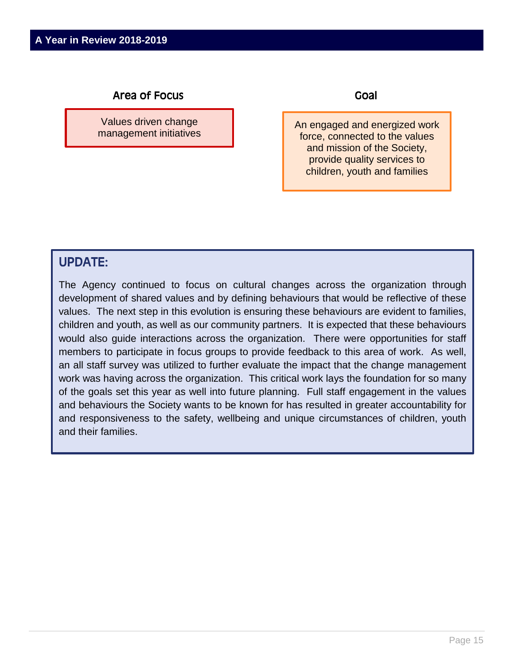Values driven change management initiatives Goal

An engaged and energized work force, connected to the values and mission of the Society, provide quality services to children, youth and families

## UPDATE:

The Agency continued to focus on cultural changes across the organization through development of shared values and by defining behaviours that would be reflective of these values. The next step in this evolution is ensuring these behaviours are evident to families, children and youth, as well as our community partners. It is expected that these behaviours would also guide interactions across the organization. There were opportunities for staff members to participate in focus groups to provide feedback to this area of work. As well, an all staff survey was utilized to further evaluate the impact that the change management work was having across the organization. This critical work lays the foundation for so many of the goals set this year as well into future planning. Full staff engagement in the values and behaviours the Society wants to be known for has resulted in greater accountability for and responsiveness to the safety, wellbeing and unique circumstances of children, youth and their families.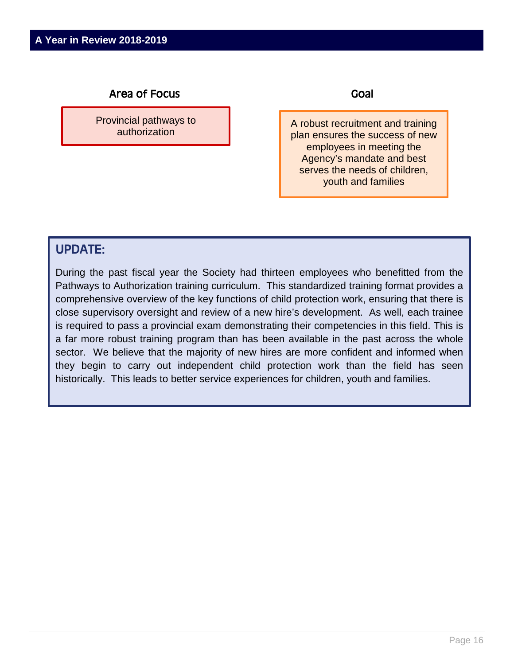Provincial pathways to authorization

Goal

A robust recruitment and training plan ensures the success of new employees in meeting the Agency's mandate and best serves the needs of children, youth and families

## UPDATE:

During the past fiscal year the Society had thirteen employees who benefitted from the Pathways to Authorization training curriculum. This standardized training format provides a comprehensive overview of the key functions of child protection work, ensuring that there is close supervisory oversight and review of a new hire's development. As well, each trainee is required to pass a provincial exam demonstrating their competencies in this field. This is a far more robust training program than has been available in the past across the whole sector. We believe that the majority of new hires are more confident and informed when they begin to carry out independent child protection work than the field has seen historically. This leads to better service experiences for children, youth and families.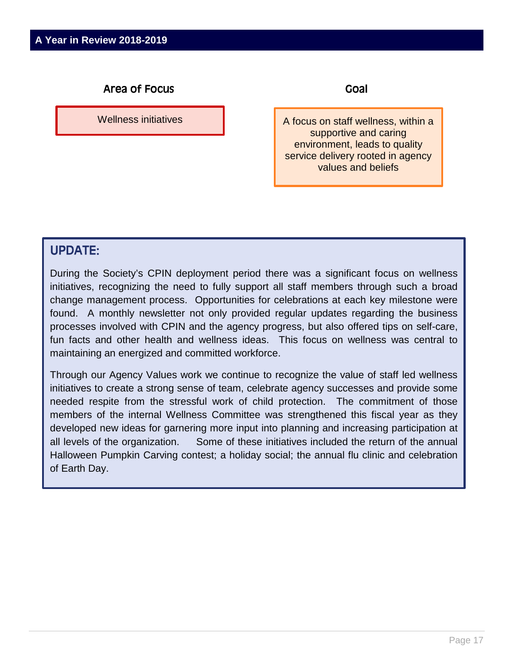Wellness initiatives

Goal

A focus on staff wellness, within a supportive and caring environment, leads to quality service delivery rooted in agency values and beliefs

## UPDATE:

During the Society's CPIN deployment period there was a significant focus on wellness initiatives, recognizing the need to fully support all staff members through such a broad change management process. Opportunities for celebrations at each key milestone were found. A monthly newsletter not only provided regular updates regarding the business processes involved with CPIN and the agency progress, but also offered tips on self-care, fun facts and other health and wellness ideas. This focus on wellness was central to maintaining an energized and committed workforce.

Through our Agency Values work we continue to recognize the value of staff led wellness initiatives to create a strong sense of team, celebrate agency successes and provide some needed respite from the stressful work of child protection. The commitment of those members of the internal Wellness Committee was strengthened this fiscal year as they developed new ideas for garnering more input into planning and increasing participation at all levels of the organization. Some of these initiatives included the return of the annual Halloween Pumpkin Carving contest; a holiday social; the annual flu clinic and celebration of Earth Day.